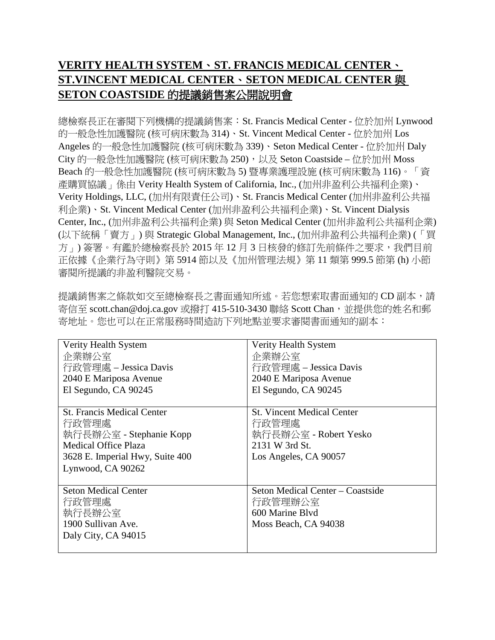## **VERITY HEALTH SYSTEM**、 **ST. FRANCIS MEDICAL CENTER**、 **ST.VINCENT MEDICAL CENTER**、 **SETON MEDICAL CENTER** 與 **SETON COASTSIDE** 的提議銷售案公開說明會

 總檢察長正在審閱下列機構的提議銷售案:St. Francis Medical Center - 位於加州 Lynwood 的一般急性加護醫院 (核可病床數為 314)、St. Vincent Medical Center - 位於加州 Los Angeles 的一般急性加護醫院 (核可病床數為 339)、Seton Medical Center - 位於加州 Daly City 的一般急性加護醫院 (核可病床數為 250),以及 Seton Coastside – 位於加州 Moss (以下統稱「賣方」) 與 Strategic Global Management, Inc., (加州非盈利公共福利企業) (「買 方」) 簽署。有鑑於總檢察長於 2015 年 12 月 3 日核發的修訂先前條件之要求,我們目前 正依據《企業行為守則》第 5914 節以及《加州管理法規》第 11 類第 999.5 節第 (h) 小節 Beach 的一般急性加護醫院 (核可病床數為 5) 暨專業護理設施 (核可病床數為 116)。「資 產購買協議」係由 Verity Health System of California, Inc., (加州非盈利公共福利企業)、 Verity Holdings, LLC, (加州有限責任公司)、St. Francis Medical Center (加州非盈利公共福 利企業)、St. Vincent Medical Center (加州非盈利公共福利企業)、St. Vincent Dialysis Center, Inc., (加州非盈利公共福利企業) 與 Seton Medical Center (加州非盈利公共福利企業) 審閱所提議的非盈利醫院交易。

寄信至 [scott.chan@doj.ca.gov](mailto:scott.chan@doj.ca.gov) 或撥打 415-510-3430 聯絡 Scott Chan,並提供您的姓名和郵 提議銷售案之條款如交至總檢察長之書面通知所述。若您想索取書面通知的 CD 副本,請 寄地址。您也可以在正常服務時間造訪下列地點並要求審閱書面通知的副本:

| Verity Health System              | Verity Health System              |
|-----------------------------------|-----------------------------------|
| 企業辦公室                             | 企業辦公室                             |
| 行政管理處 – Jessica Davis             | 行政管理處 – Jessica Davis             |
| 2040 E Mariposa Avenue            | 2040 E Mariposa Avenue            |
| El Segundo, CA 90245              | El Segundo, CA 90245              |
|                                   |                                   |
| <b>St. Francis Medical Center</b> | <b>St. Vincent Medical Center</b> |
| 行政管理處                             | 行政管理處                             |
| 執行長辦公室 - Stephanie Kopp           | 執行長辦公室 - Robert Yesko             |
| <b>Medical Office Plaza</b>       | 2131 W 3rd St.                    |
| 3628 E. Imperial Hwy, Suite 400   | Los Angeles, CA 90057             |
| Lynwood, CA 90262                 |                                   |
|                                   |                                   |
| <b>Seton Medical Center</b>       | Seton Medical Center – Coastside  |
| 行政管理處                             | 行政管理辦公室                           |
| 執行長辦公室                            | 600 Marine Blvd                   |
| 1900 Sullivan Ave.                | Moss Beach, CA 94038              |
| Daly City, CA 94015               |                                   |
|                                   |                                   |